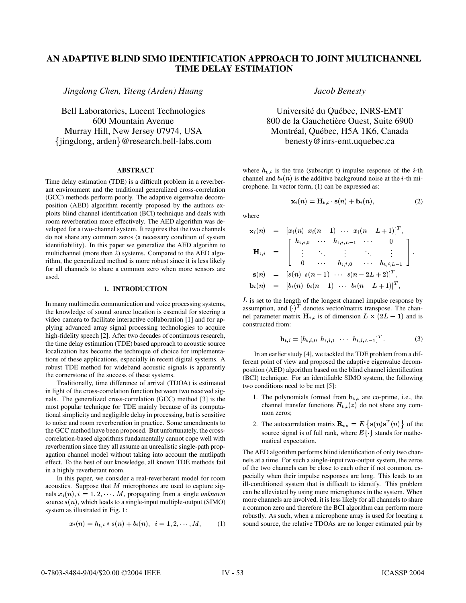# **AN ADAPTIVE BLIND SIMO IDENTIFICATION APPROACH TO JOINT MULTICHANNEL TIME DELAY ESTIMATION**

*Jingdong Chen, Yiteng (Arden) Huang*

Bell Laboratories, Lucent Technologies 600 Mountain Avenue jingdong, arden @research.bell-labs.com Murray Hill, New Jersey 07974, USA

# **ABSTRACT**

Time delay estimation (TDE) is a difficult problem in a reverberant environment and the traditional generalized cross-correlation (GCC) methods perform poorly. The adaptive eigenvalue decomposition (AED) algorithm recently proposed by the authors exploits blind channel identification (BCI) technique and deals with room reverberation more effectively. The AED algorithm was developed for a two-channel system. It requires that the two channels do not share any common zeros (a necessary condition of system identifiability). In this paper we generalize the AED algorihm to multichannel (more than 2) systems. Compared to the AED algorithm, the generalized method is more robust since it is less likely for all channels to share a common zero when more sensors are used.

#### **1. INTRODUCTION**

In many multimedia communication and voice processing systems, the knowledge of sound source location is essential for steering a video camera to facilitate interactive collaboration [1] and for applying advanced array signal processing technologies to acquire high-fidelity speech [2]. After two decades of continuous research, the time delay estimation (TDE) based approach to acoustic source localization has become the technique of choice for implementations of these applications, especially in recent digital systems. A robust TDE method for wideband acoustic signals is apparently the cornerstone of the success of these systems.

Traditionally, time difference of arrival (TDOA) is estimated in light of the cross-correlation function between two received signals. The generalized cross-correlation (GCC) method [3] is the most popular technique for TDE mainly because of its computational simplicity and negligible delay in processing, but is sensitive to noise and room reverberation in practice. Some amendments to the GCC method have been proposed. But unfortunately, the crosscorrelation-based algorithms fundamentally cannot cope well with reverberation since they all assume an unrealistic single-path propagation channel model without taking into account the mutlipath effect. To the best of our knowledge, all known TDE methods fail in a highly reverberant room.

In this paper, we consider a real-reverberant model for room acoustics. Suppose that  $M$  microphones are used to capture signals  $x_i(n)$ ,  $i = 1, 2, \dots, M$ , propagating from a single *unknown* source  $s(n)$ , which leads to a single-input multiple-output (SIMO) system as illustrated in Fig. 1:

$$
x_i(n) = h_{t,i} * s(n) + b_i(n), \quad i = 1, 2, \cdots, M,
$$
 (1)

*Jacob Benesty*

Université du Québec, INRS-EMT 800 de la Gauchetière Ouest, Suite 6900 Montréal, Québec, H5A 1K6, Canada benesty@inrs-emt.uquebec.ca

where  $h_{t,i}$  is the true (subscript t) impulse response of the *i*-th channel and  $b_i(n)$  is the additive background noise at the *i*-th microphone. In vector form, (1) can be expressed as:

$$
\mathbf{x}_i(n) = \mathbf{H}_{t,i} \cdot \mathbf{s}(n) + \mathbf{b}_i(n), \tag{2}
$$

where

$$
\mathbf{x}_{i}(n) = [x_{i}(n) x_{i}(n-1) \cdots x_{i}(n-L+1)]^{T},
$$
\n
$$
\mathbf{H}_{t,i} = \begin{bmatrix}\nh_{t,i,0} & \cdots & h_{t,i,L-1} & \cdots & 0 \\
\vdots & \ddots & \vdots & \ddots & \vdots \\
0 & \cdots & h_{t,i,0} & \cdots & h_{t,i,L-1} \\
\vdots & \vdots & \ddots & \vdots & \vdots \\
0 & \cdots & h_{t,i,0} & \cdots & h_{t,i,L-1}\n\end{bmatrix},
$$
\n
$$
\mathbf{s}(n) = [s(n) s(n-1) \cdots s(n-2L+2)]^{T},
$$
\n
$$
\mathbf{b}_{i}(n) = [b_{i}(n) b_{i}(n-1) \cdots b_{i}(n-L+1)]^{T},
$$

 $L$  is set to the length of the longest channel impulse response by assumption, and  $(\cdot)^T$  denotes vector/matrix transpose. The channel parameter matrix  $H_{t,i}$  is of dimension  $L \times (2L - 1)$  and is constructed from:

$$
\mathbf{h}_{t,i} = [h_{t,i,0} \ \ h_{t,i,1} \ \ \cdots \ \ h_{t,i,L-1}]^{T} \tag{3}
$$

In an earlier study [4], we tackled the TDE problem from a different point of view and proposed the adaptive eigenvalue decomposition (AED) algorithm based on the blind channel identification (BCI) technique. For an identifiable SIMO system, the following two conditions need to be met [5]:

- conditions need to be met [5]:<br>1. The polynomials formed from  $\mathbf{h}_{t,i}$  are co-prime, i.e., the channel transfer functions  $H_{t,i}(z)$  do not share any common zeros;
- 2. The autocorrelation matrix  $\mathbf{R}_{ss} = E \{ \mathbf{s}(n) \mathbf{s}^T(n) \}$  of the source signal is of full rank, where  $E\{\hat{ } \}$  stands for mathematical expectation.

The AED algorithm performs blind identification of only two channels at a time. For such a single-input two-output system, the zeros of the two channels can be close to each other if not common, especially when their impulse responses are long. This leads to an ill-conditioned system that is difficult to identify. This problem can be alleviated by using more microphones in the system. When more channels are involved, it is less likely for all channels to share a common zero and therefore the BCI algorithm can perform more robustly. As such, when a microphone array is used for locating a sound source, the relative TDOAs are no longer estimated pair by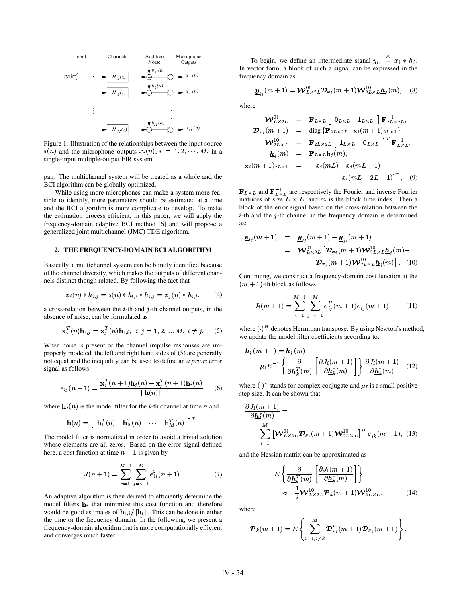

Figure 1: Illustration of the relationships between the input source  $s(n)$  and the microphone outputs  $x_i(n), i = 1, 2, \dots, M$ , in a single-input multiple-output FIR system.

pair. The multichannel system will be treated as a whole and the BCI algorithm can be globally optimized.

While using more microphones can make a system more feasible to identify, more parameters should be estimated at a time and the BCI algorithm is more complicate to develop. To make the estimation process efficient, in this paper, we will apply the frequency-domain adaptive BCI method [6] and will propose a generalized joint multichannel (JMC) TDE algorithm.

# **2. THE FREQUENCY-DOMAIN BCI ALGORITHM**

Basically, a multichannel system can be blindly identified because of the channel diversity, which makes the outputs of different channels distinct though related. By following the fact that

$$
x_i(n) * h_{t,j} = s(n) * h_{t,i} * h_{t,j} = x_j(n) * h_{t,i}, \qquad (4)
$$

a cross-relation between the  $i$ -th and  $j$ -th channel outputs, in the absence of noise, can be formulated as

$$
\mathbf{x}_i^T(n)\mathbf{h}_{t,j} = \mathbf{x}_j^T(n)\mathbf{h}_{t,i}, \ \ i, j = 1, 2, ..., M, \ i \neq j. \tag{5}
$$

When noise is present or the channel impulse responses are improperly modeled, the left and right hand sides of (5) are generally not equal and the inequality can be used to define an *a priori* error signal as follows:

$$
e_{ij}(n+1) = \frac{\mathbf{x}_i^T(n+1)\mathbf{h}_j(n) - \mathbf{x}_j^T(n+1)\mathbf{h}_i(n)}{\|\mathbf{h}(n)\|}, \quad (6)
$$

where  $\mathbf{h}_i(n)$  is the model filter for the *i*-th channel at time *n* and

$$
\mathbf{h}(n) = \left[ \begin{array}{ccc} \mathbf{h}_1^T(n) & \mathbf{h}_2^T(n) & \cdots & \mathbf{h}_M^T(n) \end{array} \right]^T.
$$

The model filter is normalized in order to avoid a trivial solution whose elements are all zeros. Based on the error signal defined here, a cost function at time  $n + 1$  is given by

$$
J(n+1) = \sum_{i=1}^{M-1} \sum_{j=i+1}^{M} e_{ij}^{2}(n+1).
$$
 (7)

An adaptive algorithm is then derived to efficiently determine the model filters  $\mathbf{h}_i$  that minimize this cost function and therefore model filters  $\mathbf{h}_i$  that minimize this cost function and therefore would be good estimates of  $\mathbf{h}_{t,i}/||\mathbf{h}_t||$ . This can be done in either  $t_{\rm t,i}/\|\mathbf{h}_{\rm t}\|$ . This can be done in either the time or the frequency domain. In the following, we present a frequency-domain algorithm that is more computationally efficient and converges much faster.

To begin, we define an intermediate signal  $y_{ij} \equiv x_i * h_j$ . In vector form, a block of such a signal can be expressed in the frequency domain as

$$
\underline{\boldsymbol{y}}_{ij}(m+1) = \boldsymbol{\mathcal{W}}_{L\times 2L}^{01} \boldsymbol{\mathcal{D}}_{x_i}(m+1) \boldsymbol{\mathcal{W}}_{2L\times L}^{10} \underline{\boldsymbol{h}}_j(m), \quad (8)
$$

where

$$
\mathbf{W}_{L\times 2L}^{01} = \mathbf{F}_{L\times L} [\mathbf{0}_{L\times L} \quad \mathbf{I}_{L\times L}] \mathbf{F}_{2L\times 2L}^{-1},
$$
  

$$
\mathbf{D}_{x_i}(m+1) = \text{diag}\{\mathbf{F}_{2L\times 2L} \cdot \mathbf{x}_i(m+1)_{2L\times 1}\},
$$
  

$$
\mathbf{W}_{2L\times L}^{10} = \mathbf{F}_{2L\times 2L} [\mathbf{I}_{L\times L} \quad \mathbf{0}_{L\times L}]^T \mathbf{F}_{L\times L}^{-1},
$$
  

$$
\underline{\mathbf{h}}_j(m) = \mathbf{F}_{L\times L} \mathbf{h}_j(m),
$$
  

$$
\mathbf{x}_i(m+1)_{2L\times 1} = [x_i(mL) \quad x_i(mL+1) \quad \cdots \quad x_i(mL+2L-1)]^T, \quad (9)
$$

 ${\bf F}_{L\times L}$  and  ${\bf F}_{L\times L}^{-1}$  are respectively the Fourier and inverse Fourier matrices of size  $L \times L$ , and  $m$  is the block time index. Then a block of the error signal based on the cross-relation between the  $i$ -th and the  $j$ -th channel in the frequency domain is determined as:

$$
\underline{\mathbf{e}}_{ij}(m+1) = \underline{\mathbf{y}}_{ij}(m+1) - \underline{\mathbf{y}}_{ji}(m+1)
$$
  
\n
$$
= \mathbf{W}_{L \times 2L}^{01} [\mathbf{D}_{x_i}(m+1)\mathbf{W}_{2L \times L}^{10} \underline{\mathbf{h}}_j(m) -
$$
  
\n
$$
\mathbf{D}_{x_i}(m+1)\mathbf{W}_{2L \times L}^{10} \underline{\mathbf{h}}_i(m)] \quad (10)
$$

Continuing, we construct a frequency-domain cost function at the  $(m + 1)$ -th block as follows:

$$
J_{\rm f}(m+1) = \sum_{i=1}^{M-1} \sum_{j=i+1}^{M} \underline{e}_{ij}^H(m+1)\underline{e}_{ij}(m+1), \qquad (11)
$$

where  $(\cdot)^H$  denotes Hermitian transpose. By using Newton's method, we update the model filter coefficients according to:

$$
\underline{\mathbf{h}}_k(m+1) = \underline{\mathbf{h}}_k(m) - \mu_f E^{-1} \left\{ \frac{\partial}{\partial \underline{\mathbf{h}}_k^T(m)} \left[ \frac{\partial J_f(m+1)}{\partial \underline{\mathbf{h}}_k^*(m)} \right] \right\} \frac{\partial J_f(m+1)}{\partial \underline{\mathbf{h}}_k^*(m)}, \quad (12)
$$

where ()<sup>\*</sup> stands for complex conjugate and  $\mu_f$  is a small positive step size. It can be shown that

$$
\frac{\partial J_f(m+1)}{\partial \underline{\mathbf{h}}_k^*(m)} = \sum_{i=1}^M \left[ \mathbf{W}_{L \times 2L}^{01} \mathbf{\mathcal{D}}_{x_i}(m+1) \mathbf{W}_{2L \times L}^{10} \right]^H \underline{\mathbf{e}}_{ik}(m+1), \quad (13)
$$

and the Hessian matrix can be approximated as

$$
E\left\{\frac{\partial}{\partial \underline{\mathbf{h}}_k^T(m)}\left[\frac{\partial J_f(m+1)}{\partial \underline{\mathbf{h}}_k^*(m)}\right]\right\}
$$
  

$$
\approx \frac{1}{2} \mathbf{W}_{L \times 2L}^{10} \mathbf{P}_k(m+1) \mathbf{W}_{2L \times L}^{10},
$$
 (14)

where

$$
\boldsymbol{\mathcal{P}}_k(m+1)=E\left\{\sum_{i=1,i\neq k}^M \boldsymbol{\mathcal{D}}_{x_i}^*(m+1)\boldsymbol{\mathcal{D}}_{x_i}(m+1)\right\}.
$$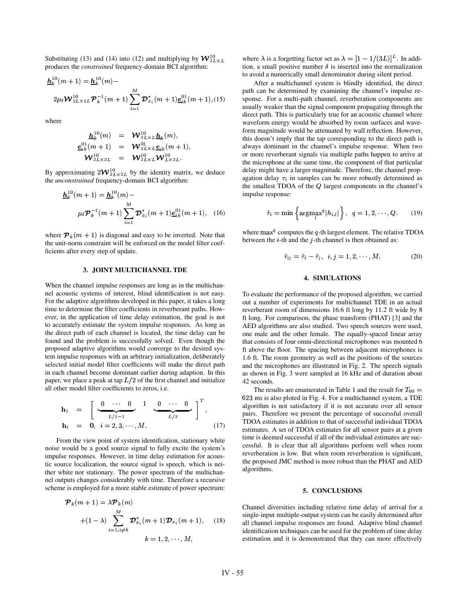Substituting (13) and (14) into (12) and multiplying by  ${\bf W}_{2L \times L}^{10}$ produces the *constrained* frequency-domain BCI algorithm:

$$
\underline{\mathbf{h}}_k^{10}(m+1) = \underline{\mathbf{h}}_k^{10}(m) -
$$
\n
$$
2\mu_{\mathbf{f}} \mathbf{W}_{2L \times 2L}^{10} \mathbf{P}_k^{-1}(m+1) \sum_{i=1}^M \mathbf{D}_{x_i}^*(m+1) \underline{\mathbf{e}}_{ik}^{01}(m+1), (15)
$$

where

$$
\begin{array}{ccl} \underline{\boldsymbol{h}}_k^{10}(m) &=& \boldsymbol{\mathcal{W}}_{2L\times L}^{10}\underline{\boldsymbol{h}}_k(m),\\ \underline{\boldsymbol{e}}_{ik}^{01}(m+1) &=& \boldsymbol{\mathcal{W}}_{2L\times L}^{01}\underline{\boldsymbol{e}}_{ik}(m+1),\\ \boldsymbol{\mathcal{W}}_{2L\times 2L}^{10} &=& \boldsymbol{\mathcal{W}}_{2L\times L}^{10}\boldsymbol{\mathcal{W}}_{L\times 2L}^{10}. \end{array}
$$

By approximating  $2W_{2L\times2L}^{10}$  by the identity matrix, we deduce the *unconstrained* frequency-domain BCI algorithm:

$$
\underline{\mathbf{h}}_k^{10}(m+1) = \underline{\mathbf{h}}_k^{10}(m) -
$$
\n
$$
\mu_f \mathbf{P}_k^{-1}(m+1) \sum_{i=1}^M \mathbf{D}_{x_i}^*(m+1) \underline{\mathbf{e}}_{ik}^{01}(m+1), \quad (16)
$$

where  $\mathcal{P}_k(m + 1)$  is diagonal and easy to be inverted. Note that the unit-norm constraint will be enforced on the model filter coefficients after every step of update.

## **3. JOINT MULTICHANNEL TDE**

When the channel impulse responses are long as in the multichannel acoustic systems of interest, blind identification is not easy. For the adaptive algorithms developed in this paper, it takes a long time to determine the filter coefficients in reverberant paths. However, in the application of time delay estimation, the goal is not to accurately estimate the system impulse responses. As long as the direct path of each channel is located, the time delay can be found and the problem is successfully solved. Even though the proposed adaptive algorithms would converge to the desired system impulse responses with an arbitrary initialization, deliberately selected initial model filter coefficients will make the direct path in each channel become dominant earlier during adaption. In this paper, we place a peak at tap  $L/2$  of the first channel and initialize all other model filter coefficients to zeros, i.e.

$$
\mathbf{h}_1 = \begin{bmatrix} 0 & \cdots & 0 & 1 & 0 & \cdots & 0 \\ \vdots & \ddots & \ddots & \ddots & \ddots & \vdots \\ \mathbf{h}_i & = & 0, & i = 2, 3, \cdots, M. \end{bmatrix}^T,
$$
\n(17)

From the view point of system identification, stationary white noise would be a good source signal to fully excite the system's impulse responses. However, in time delay estimation for acoustic source localization, the source signal is speech, which is neither white nor stationary. The power spectrum of the multichannel outputs changes considerably with time. Therefore a recursive scheme is employed for a more stable estimate of power spectrum:

$$
\mathcal{P}_k(m+1) = \lambda \mathcal{P}_k(m)
$$
  
+  $(1 - \lambda) \sum_{i=1, i \neq k}^{M} \mathcal{D}_{x_i}^*(m+1) \mathcal{D}_{x_i}(m+1),$  (18)  
 $k = 1, 2, \dots, M,$ 

where  $\lambda$  is a forgetting factor set as  $\lambda = \left[1 - 1/(3L)\right]^L$ . In addition, a small positive number  $\delta$  is inserted into the normalization to avoid a numerically small denominator during silent period.

After a multichannel system is blindly identified, the direct path can be determined by examining the channel's impulse response. For a multi-path channel, reverberation components are usually weaker than the signal component propagating through the direct path. This is particularly true for an acoustic channel where waveform energy would be absorbed by room surfaces and waveform magnitude would be attenuated by wall reflection. However, this doesn't imply that the tap corresponding to the direct path is always dominant in the channel's impulse response. When two or more reverberant signals via multiple paths happen to arrive at the microphone at the same time, the component of that particular delay might have a larger magnitude. Therefore, the channel propagation delay  $\tau_i$  in samples can be more robustly determined as the smallest TDOA of the  $Q$  largest components in the channel's impulse response:

$$
\hat{\tau}_i = \min \left\{ \operatorname{argmax}_{l}^{q} |h_{i,l}| \right\}, \ \ q = 1, 2, \cdots, Q. \tag{19}
$$

where  $\max^q$  computes the q-th largest element. The relative TDOA between the  $i$ -th and the  $j$ -th channel is then obtained as:

$$
\hat{\tau}_{ij} = \hat{\tau}_i - \hat{\tau}_j, \quad i, j = 1, 2, \cdots, M. \tag{20}
$$

## **4. SIMULATIONS**

To evaluate the performance of the proposed algorithm, we carried out a number of experiments for multichannel TDE in an actual reverberant room of dimensions 16.6 ft long by 11.2 ft wide by 8 ft long. For comparison, the phase transform (PHAT) [3] and the AED algorithms are also studied. Two speech sources were used, one male and the other female. The equally-spaced linear array that consists of four omni-directional microphones was mounted 6 ft above the floor. The spacing between adjacent microphones is 1.6 ft. The room geometry as well as the positions of the sources and the microphones are illustrated in Fig. 2. The speech signals as shown in Fig. 3 were sampled at 16 kHz and of duration about 42 seconds.

The results are enumerated in Table 1 and the result for  $T_{60} =$ 623 ms is also ploted in Fig. 4. For a multichannel system, a TDE algorithm is not satisfactory if it is not accurate over all sensor pairs. Therefore we present the percentage of successful overall TDOA estimates in addition to that of successful individual TDOA estimates. A set of TDOA estimates for all sensor pairs at a given time is deemed successful if all of the individual estimates are successful. It is clear that all algorithms perform well when room reverberation is low. But when room reverberation is significant, the proposed JMC method is more robust than the PHAT and AED algorithms.

#### **5. CONCLUSIONS**

Channel diversities including relative time delay of arrival for a single-input multiple-output system can be easily determined after all channel impulse responses are found. Adaptive blind channel identification techniques can be used for the problem of time delay estimation and it is demonstrated that they can more effectively